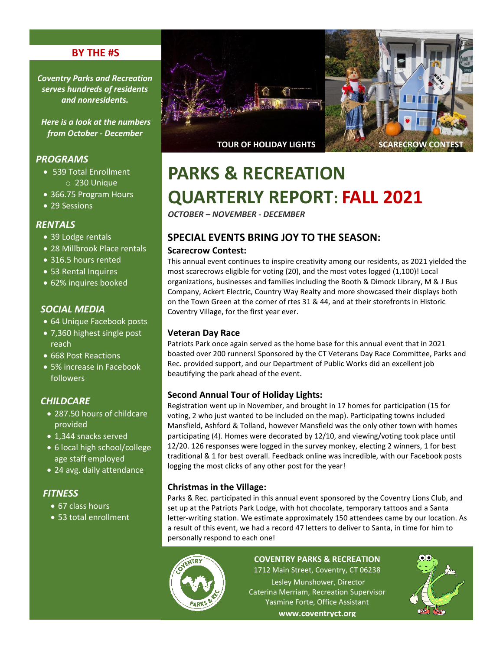## **BY THE #S**

*Coventry Parks and Recreation serves hundreds of residents and nonresidents.*

*Here is a look at the numbers from October - December*

#### *PROGRAMS*

- 539 Total Enrollment o 230 Unique
- 366.75 Program Hours
- 29 Sessions

#### *RENTALS*

- 39 Lodge rentals
- 28 Millbrook Place rentals
- 316.5 hours rented
- 53 Rental Inquires
- 62% inquires booked

## *SOCIAL MEDIA*

- 64 Unique Facebook posts
- 7,360 highest single post reach
- 668 Post Reactions
- 5% increase in Facebook followers

#### *CHILDCARE*

- 287.50 hours of childcare provided
- 1,344 snacks served
- 6 local high school/college age staff employed
- 24 avg. daily attendance

## *FITNESS*

- 67 class hours
- 53 total enrollment



# **PARKS & RECREATION**

# **QUARTERLY REPORT: FALL 2021**

*OCTOBER – NOVEMBER - DECEMBER*

# **SPECIAL EVENTS BRING JOY TO THE SEASON:**

#### **Scarecrow Contest:**

This annual event continues to inspire creativity among our residents, as 2021 yielded the most scarecrows eligible for voting (20), and the most votes logged (1,100)! Local organizations, businesses and families including the Booth & Dimock Library, M & J Bus Company, Ackert Electric, Country Way Realty and more showcased their displays both on the Town Green at the corner of rtes 31 & 44, and at their storefronts in Historic Coventry Village, for the first year ever.

#### **Veteran Day Race**

Patriots Park once again served as the home base for this annual event that in 2021 boasted over 200 runners! Sponsored by the CT Veterans Day Race Committee, Parks and Rec. provided support, and our Department of Public Works did an excellent job beautifying the park ahead of the event.

#### **Second Annual Tour of Holiday Lights:**

Registration went up in November, and brought in 17 homes for participation (15 for voting, 2 who just wanted to be included on the map). Participating towns included Mansfield, Ashford & Tolland, however Mansfield was the only other town with homes participating (4). Homes were decorated by 12/10, and viewing/voting took place until 12/20. 126 responses were logged in the survey monkey, electing 2 winners, 1 for best traditional & 1 for best overall. Feedback online was incredible, with our Facebook posts logging the most clicks of any other post for the year!

#### **Christmas in the Village:**

Parks & Rec. participated in this annual event sponsored by the Coventry Lions Club, and set up at the Patriots Park Lodge, with hot chocolate, temporary tattoos and a Santa letter-writing station. We estimate approximately 150 attendees came by our location. As a result of this event, we had a record 47 letters to deliver to Santa, in time for him to personally respond to each one!



#### **COVENTRY PARKS & RECREATION** 1712 Main Street, Coventry, CT 06238

Lesley Munshower, Director Caterina Merriam, Recreation Supervisor Yasmine Forte, Office Assistant **www.coventryct.org**